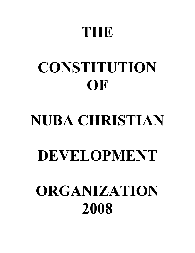# **THE**

# **CONSTITUTION OF**

# **NUBA CHRISTIAN**

# **DEVELOPMENT**

# **ORGANIZATION 2008**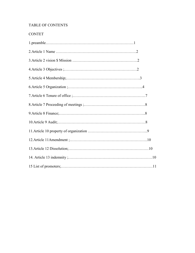# TABLE OF CONTENTS

# CONTET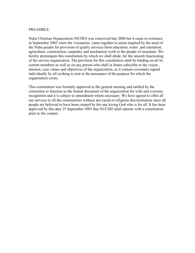#### PREAMBLE.

Nuba Christian Organization (NCDO) was conceived late 2004 but it came to existence in September 2005 when the visionaries came together in union inspired by the need of the Nuba people for provision of quality services from education, water ,and sanitation, agriculture, construction, carpentry and mechanical work to the people of mountain. We hereby promulgate this constitution by which we shall abide, for the smooth functioning of the service organization. The provision for this constitution shall be binding on all its current members as well as on any person who shall in future subscribe to the vision, mission, core values and objectives of the organization, as it contain covenants signed individually by all wishing to join in the pursuance of the purpose for which the organization exists.

This constitution was formally approved in the general meeting and ratified by the committee to function as the formal document of the organization for with and oversees recognition and it is subject to amendment where necessary. We have agreed to offer all our services to all the communities without any racial or religious discrimination since all people are believed to have been created by the one loving God who is for all. It has been approved by this date 25 September 2005 that NUCDO shall operate with a constitution prior to the content.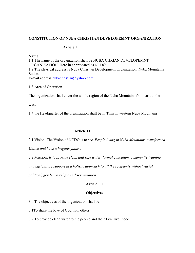#### **CONSTITUTION OF NUBA CHRISTIAN DEVELOPEMNT ORGANIZATION**

#### **Article 1**

#### **ame**

1:1 The name of the organization shall be NUBA CHRIAN DEVELOPEMNT ORGANIZATION. Here in abbreviated as NCDO. 1.2 The physical address is Nuba Christian Development Organization. Nuba Mountains Sudan. E-mail address nubachristian@yahoo.com.

1.3 Area of Operation

The organization shall cover the whole region of the Nuba Mountains from east to the

west.

1.4 the Headquarter of the organization shall be in Tima in western Nuba Mountains

# **Article 11**

2.1 Vision; The Vision of NCDO is to *see People living in uba Mountains transformed,* 

*United and have a brighter future.* 

2.2 Mission; *Is to provide clean and safe water, formal education, community training* 

*and agriculture support in a holistic approach to all the recipients without racial,* 

*political, gender or religious discrimination*.

# **Article 111**

# **Objectives**

3.0 The objectives of the organization shall be:-

3.1To share the love of God with others.

3.2 To provide clean water to the people and their Live livelihood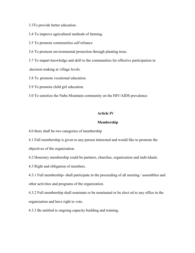3.3To provide better education .

3.4 To improve agricultural methods of farming.

3.5 To promote communities self reliance

3.6 To promote environmental protection through planting trees.

3.7 To impart knowledge and skill to the communities for effective participation in .decision making at village levels.

3.8 To promote vocational education.

3.9 To promote child girl education.

3.0 To sensitize the Nuba Mountain community on the HIV/AIDS prevalence

#### **Article IV**

#### **Membership**

4.0 there shall be two categories of membership

4.1 Full membership is given to any person interested and would like to promote the objectives of the organization.

4.2 Honorary membership could be partners, churches, organization and individuals.

4.3 Right and obligation of members.

4.3.1 Full membership- shall participate in the proceeding of all meeting / assemblies and other activities and programs of the organization.

4.3.2 Full membership shall nominate or be nominated or be elect ed to any office in the organization and have right to vote.

4.3.3 Be entitled to ongoing capacity building and training.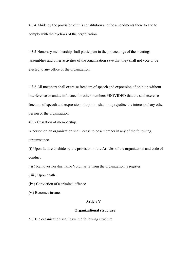4.3.4 Abide by the provision of this constitution and the amendments there to and to comply with the byelaws of the organization.

4.3.5 Honorary membership shall participate in the proceedings of the meetings ,assemblies and other activities of the organization save that they shall not vote or be elected to any office of the organization.

4.3.6 All members shall exercise freedom of speech and expression of opinion without interference or undue influence for other members PROVIDED that the said exercise freedom of speech and expression of opinion shall not prejudice the interest of any other person or the organization.

4.3.7 Cessation of membership.

A person or an organization shall cease to be a member in any of the following circumstance.

(i) Upon failure to abide by the provision of the Articles of the organization and code of conduct

( ii ) Removes her /his name Voluntarily from the organization .s register.

( iii ) Upon death .

(iv ) Conviction of a criminal offence

(v ) Becomes insane.

#### **Article V**

#### **Organizational structure**

5.0 The organization shall have the following structure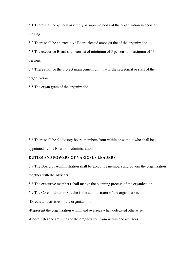5.1 There shall be general assembly as supreme body of the organization in decision making .

5.2 There shall be an executive Board elected amongst the of the organization

5.3 The executive Board shall consist of minimum of 5 persons to maximum of 13 persons.

5.4 There shall be the project management unit that is the secretariat or staff of the organization.

5.5 The organ gram of the organization

5.6 There shall be 5 advisory board members from within or without who shall be appointed by the Board of Administration.

# **DUTIES AD POWERS OF VARIOSUS LEADERS**

5.7 The Board of Administration shall be executive members and govern the organization together with the advisors.

5.8 The executive members shall mange the planning process of the organization.

5.9 The Co-coordinator. She /he is the administrator of the organization.

-Directs all activities of the organization.

-Represent the organization within and overseas when delegated otherwise.

-Coordinates the activities of the organization from within and overseas.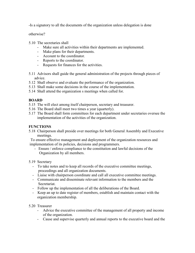-Is a signatory to all the documents of the organization unless delegation is done

otherwise?

- 5.10 The secretaries shall
	- Make sure all activities within their departments are implemented.
	- Make plans for their departments.
	- Account to the coordinator.
	- Reports to the coordinator.
	- Requests for finances for the activities.
- 5.11 Advisors shall guide the general administration of the projects through pieces of advice.
- 5.12 Shall observe and evaluate the performance of the organization.
- 5.13 Shall make some decisions in the course of the implementation.
- 5.14 Shall attend the organization s meetings when called for.

# **BOARD**

- 5.15 The will elect among itself chairperson, secretary and treasurer.
- 5.16 The Board shall meet two times a year (quarterly).
- 5.17 The Board shall form committees for each department under secretaries oversee the implementation of the activities of the organization.

# **FUNCTIONS**

5.18 Chairperson shall preside over meetings for both General Assembly and Executive meetings.

 To ensure effective management and deployment of the organization resources and implementation of its policies, decisions and programmers.

- Ensure / enforce compliance to the constitution and lawful decisions of the Organization by all members.
- 5.19 Secretary
	- To take notes and to keep all records of the executive committee meetings, proceedings and all organization documents.
	- Liaise with chairperson coordinate and call all executive committee meetings.
	- Communicate and disseminate relevant information to the members and the Secretariat.
	- Follow up the implementation of all the deliberations of the Board.
	- Keep an up to date register of members, establish and maintain contact with the organization membership.
- 5.20 Treasurer
	- Advice the executive committee of the management of all property and income of the organization.
	- Cause and supervise quarterly and annual reports to the executive board and the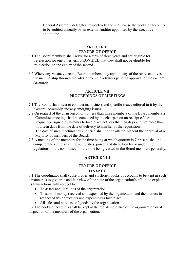General Assembly delegates, respectively and shall cause the books of accounts to be audited annually by an external auditor appointed by the executive committee.

# **ARTICLE VI TENURE OF OFFICE**

- 6.1 The Board members shall serve for a term of three years and are eligible for re-election for one other term PROVIDED that they shall not be eligible for re-election on the expiry of the second.
- 6.2 Where any vacancy occurs, Board members may appoint any of the representatives of the membership through the advice from the advisors pending approval of the General Assembly.

#### **ARTICLE VII PROCEEDIGS OF MEETIGS**

- 7.1 The Board shall meet to conduct its business and specific issues referred to it by the General Assembly and any emerging issues.
- 7.2 On request of the chairperson or not less than three members of the Board members a Committee meeting shall be convened by the chairperson on receipt of the requisition signed by him/her to take place not less than ten days and not more than fourteen days from the date of delivery to him/her of the requisition. The date of such meetings thus notified shall not be altered without the approval of a Majority of members of the Board.
- 7.3 A meeting of the members for the time being at which quorum is 7 present shall be competent to exercise all the authorities, power and discretion by or under the regulations of the committee for the time being vested in the Board members generally.

# **ARTICLE VIII**

#### **TENURE OF OFFICE**

#### **FINANCE**

8:1 The coordinator shall cause proper and surfficien books of accounts to be kept in such a manner as to give true and fair view of the state of the organization's affairs to explain its transactions with respect to:

- To assets and liabilities of the organization.
- To sum of money received and expended by the organization and the matters in respect of which receipts and expenditures take place.
- All sales and purchase of goods by the organization.

8:2 The books of accounts shall be kept at the registered office of the organization or at inspection of the members of the organization.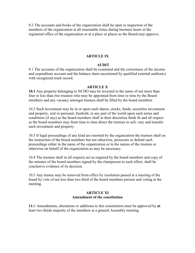8:3 The accounts and books of the organization shall be open to inspection of the members of the organization at all reasonable times during business hours at the registered office of the organization or at a place or places as the Board may approve.

#### **ARTICLE IX**

#### **AUDIT**

9.1 The accounts of the organization shall be examined and the correctness of the income and expenditure account and the balance sheet ascertained by qualified external auditor(s) with recognized track record.

#### **ARTICLE X**

**10.1** Any property belonging to NCDO may be invested in the name of not more than four or less than two trustees who may be appointed from time to time by the Board members and any vacancy amongst trustees shall be filled by the board members

10.2 Such investment may be in or upon such shares, stocks, funds, securities investment and property, real or personal, freehold, in any part of the world upon such terms and conditions (if any) as the board members shall in their discretion think fit and all respect as the board members may from time to time direct the trustees to sell, vary and transfer such investment and property.

10.3 If legal proceedings of any kind are resorted by the organization the trustees shall on the instruction of the board members but not otherwise, prosecute or defend such proceedings either in the name of the organization or in the names of the trustees or otherwise on behalf of the organization as may be necessary.

10.4 The trustees shall in all respects act as required by the board members and copy of the minutes of the board members signed by the chairperson to such effect, shall be conclusive evidence of its decision.

10.5 Any trustee may be removed from office by resolution passed at a meeting of the board by vote of not less than two third of the board members present and voting at the meeting.

#### **ARTICLE XI Amendment of the constitution**

**11:**1 Amendments, alterations or additions to this constitution must be approved by **at** least two thirds majority of the members at a general Assembly meeting.